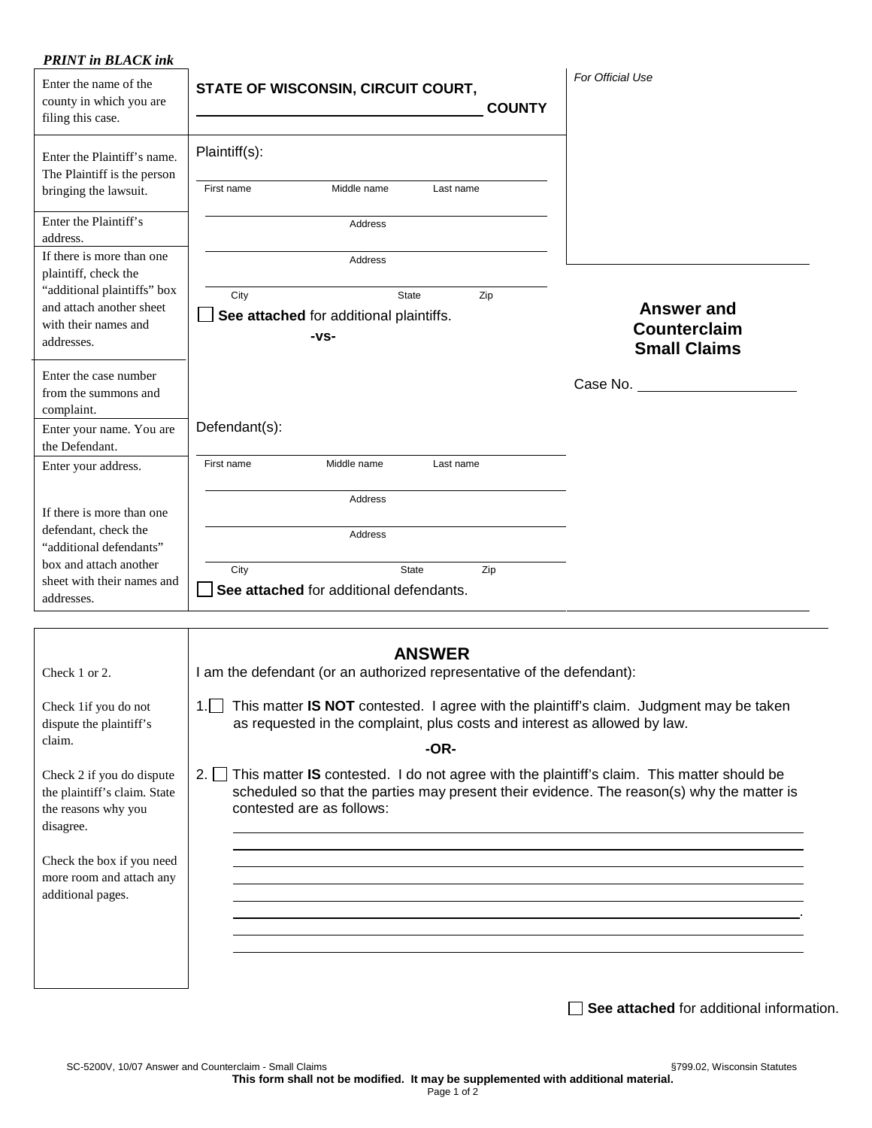| Enter the name of the<br>county in which you are<br>filing this case.                                                                              | STATE OF WISCONSIN, CIRCUIT COURT,                                                      | For Official Use<br><b>COUNTY</b>                               |
|----------------------------------------------------------------------------------------------------------------------------------------------------|-----------------------------------------------------------------------------------------|-----------------------------------------------------------------|
| Enter the Plaintiff's name.<br>The Plaintiff is the person<br>bringing the lawsuit.                                                                | Plaintiff(s):<br>First name<br>Middle name<br>Last name                                 |                                                                 |
| Enter the Plaintiff's<br>address.                                                                                                                  | Address                                                                                 |                                                                 |
| If there is more than one<br>plaintiff, check the                                                                                                  | Address                                                                                 |                                                                 |
| "additional plaintiffs" box<br>and attach another sheet<br>with their names and<br>addresses.                                                      | Zip<br>City<br>State<br>See attached for additional plaintiffs.<br>$-VS-$               | <b>Answer and</b><br><b>Counterclaim</b><br><b>Small Claims</b> |
| Enter the case number<br>from the summons and<br>complaint.                                                                                        |                                                                                         | Case No. _________                                              |
| Enter your name. You are<br>the Defendant.                                                                                                         | Defendant(s):                                                                           |                                                                 |
| Enter your address.                                                                                                                                | First name<br>Middle name<br>Last name                                                  |                                                                 |
|                                                                                                                                                    | Address                                                                                 |                                                                 |
|                                                                                                                                                    | <b>Address</b>                                                                          |                                                                 |
|                                                                                                                                                    | State<br>City<br>Zip<br>See attached for additional defendants.                         |                                                                 |
| If there is more than one<br>defendant, check the<br>"additional defendants"<br>box and attach another<br>sheet with their names and<br>addresses. |                                                                                         |                                                                 |
| Check 1 or 2.                                                                                                                                      | <b>ANSWER</b><br>I am the defendant (or an authorized representative of the defendant): |                                                                 |

| CHECK 1 OF $\angle$ .                                                                                                                                                       | T and the defendant for an addition zed representative of the defendant).                                                                                                                                                                |  |  |  |
|-----------------------------------------------------------------------------------------------------------------------------------------------------------------------------|------------------------------------------------------------------------------------------------------------------------------------------------------------------------------------------------------------------------------------------|--|--|--|
| Check 1 if you do not<br>dispute the plaintiff's<br>claim.                                                                                                                  | This matter IS NOT contested. I agree with the plaintiff's claim. Judgment may be taken<br>1.1 <sub>1</sub><br>as requested in the complaint, plus costs and interest as allowed by law.                                                 |  |  |  |
|                                                                                                                                                                             | -OR-                                                                                                                                                                                                                                     |  |  |  |
| Check 2 if you do dispute<br>the plaintiff's claim. State<br>the reasons why you<br>disagree.<br>Check the box if you need<br>more room and attach any<br>additional pages. | This matter IS contested. I do not agree with the plaintiff's claim. This matter should be<br>2.1 <sub>1</sub><br>scheduled so that the parties may present their evidence. The reason(s) why the matter is<br>contested are as follows: |  |  |  |
|                                                                                                                                                                             |                                                                                                                                                                                                                                          |  |  |  |
|                                                                                                                                                                             |                                                                                                                                                                                                                                          |  |  |  |

**See attached** for additional information.